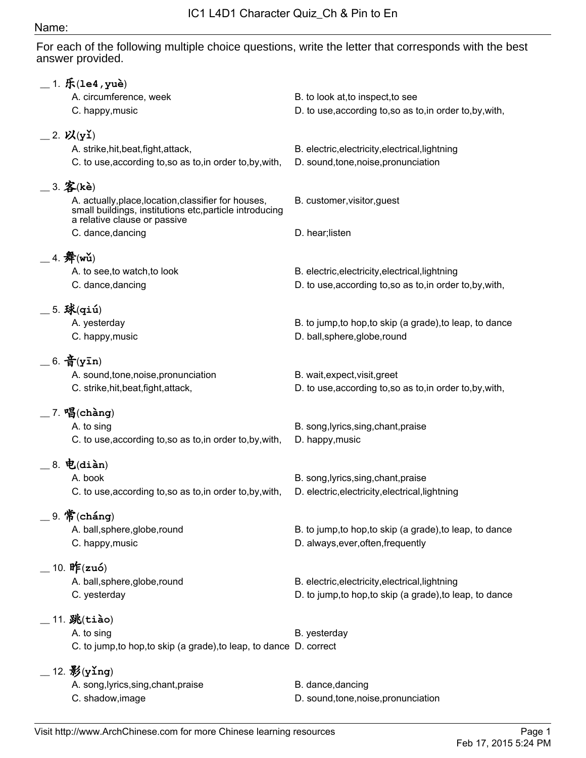## Name:

For each of the following multiple choice questions, write the letter that corresponds with the best answer provided.

|                           | $-1.$ $f(x) = 4, y$ uè)                                                                           |                                                                                         |
|---------------------------|---------------------------------------------------------------------------------------------------|-----------------------------------------------------------------------------------------|
|                           | A. circumference, week                                                                            | B. to look at, to inspect, to see                                                       |
|                           | C. happy, music                                                                                   | D. to use, according to, so as to, in order to, by, with,                               |
|                           |                                                                                                   |                                                                                         |
| $=$ 2. $\mathcal{V}(y_1)$ |                                                                                                   |                                                                                         |
|                           | A. strike, hit, beat, fight, attack,<br>C. to use, according to, so as to, in order to, by, with, | B. electric, electricity, electrical, lightning<br>D. sound, tone, noise, pronunciation |
|                           |                                                                                                   |                                                                                         |
| $=$ 3. 客(kè)              |                                                                                                   |                                                                                         |
|                           | A. actually, place, location, classifier for houses,                                              | B. customer, visitor, guest                                                             |
|                           | small buildings, institutions etc, particle introducing<br>a relative clause or passive           |                                                                                         |
|                           | C. dance, dancing                                                                                 | D. hear; listen                                                                         |
|                           |                                                                                                   |                                                                                         |
|                           | 4. $#(w\check{u})$                                                                                |                                                                                         |
|                           | A. to see, to watch, to look                                                                      | B. electric, electricity, electrical, lightning                                         |
|                           | C. dance, dancing                                                                                 | D. to use, according to, so as to, in order to, by, with,                               |
|                           |                                                                                                   |                                                                                         |
|                           | $-5.$ 球 $(q$ iú)<br>A. yesterday                                                                  | B. to jump, to hop, to skip (a grade), to leap, to dance                                |
|                           | C. happy, music                                                                                   | D. ball, sphere, globe, round                                                           |
|                           |                                                                                                   |                                                                                         |
|                           | $= 6.$ 音(yīn)                                                                                     |                                                                                         |
|                           | A. sound, tone, noise, pronunciation                                                              | B. wait, expect, visit, greet                                                           |
|                           | C. strike, hit, beat, fight, attack,                                                              | D. to use, according to, so as to, in order to, by, with,                               |
|                           | $-7.$ 唱(chàng)                                                                                    |                                                                                         |
|                           | A. to sing                                                                                        | B. song, lyrics, sing, chant, praise                                                    |
|                           | C. to use, according to, so as to, in order to, by, with,                                         | D. happy, music                                                                         |
|                           |                                                                                                   |                                                                                         |
|                           | $-8.$ 电(diàn)                                                                                     |                                                                                         |
|                           | A. book                                                                                           | B. song, lyrics, sing, chant, praise                                                    |
|                           | C. to use, according to, so as to, in order to, by, with,                                         | D. electric, electricity, electrical, lightning                                         |
|                           | $\_\,$ 9. 常(cháng)                                                                                |                                                                                         |
|                           | A. ball, sphere, globe, round                                                                     | B. to jump, to hop, to skip (a grade), to leap, to dance                                |
|                           | C. happy, music                                                                                   | D. always, ever, often, frequently                                                      |
|                           |                                                                                                   |                                                                                         |
|                           | $=$ 10. 昨(zuó)                                                                                    |                                                                                         |
|                           | A. ball, sphere, globe, round                                                                     | B. electric, electricity, electrical, lightning                                         |
|                           | C. yesterday                                                                                      |                                                                                         |
|                           |                                                                                                   |                                                                                         |
|                           | A. to sing                                                                                        | B. yesterday                                                                            |
|                           |                                                                                                   |                                                                                         |
|                           |                                                                                                   |                                                                                         |
|                           | $-12.$ $\frac{12}{3}$ (ying)                                                                      |                                                                                         |
|                           | A. song, lyrics, sing, chant, praise                                                              | B. dance, dancing                                                                       |
|                           | C. shadow, image                                                                                  | D. sound, tone, noise, pronunciation                                                    |
|                           | $\_$ 11. 跳(tiào)                                                                                  | D. to jump, to hop, to skip (a grade), to leap, to dance                                |
|                           | C. to jump, to hop, to skip (a grade), to leap, to dance D. correct                               |                                                                                         |
|                           |                                                                                                   |                                                                                         |
|                           |                                                                                                   |                                                                                         |
|                           |                                                                                                   |                                                                                         |
|                           |                                                                                                   |                                                                                         |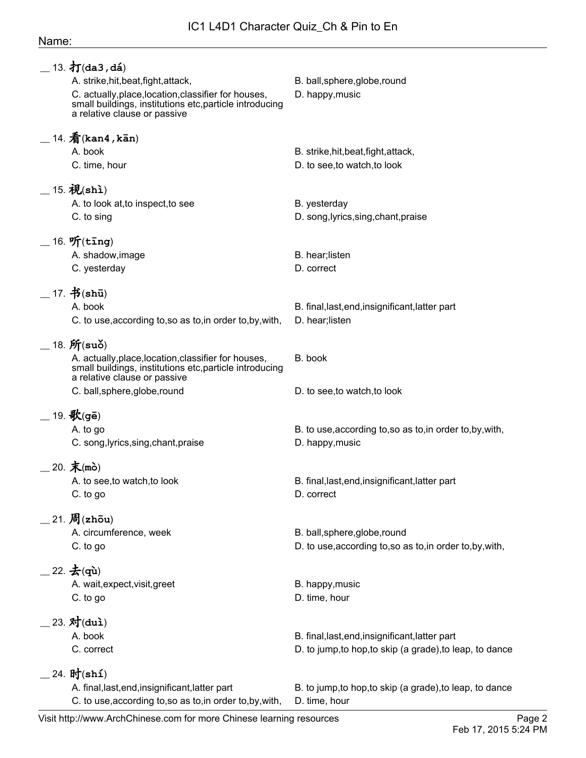## Name:

| $\_$ 13. 打(da3,dá)                                                                                                                              |                                                           |
|-------------------------------------------------------------------------------------------------------------------------------------------------|-----------------------------------------------------------|
| A. strike, hit, beat, fight, attack,                                                                                                            | B. ball, sphere, globe, round                             |
| C. actually, place, location, classifier for houses,<br>small buildings, institutions etc, particle introducing<br>a relative clause or passive | D. happy, music                                           |
| $-$ 14. $\bar{\hat{\pi}}$ (kan4, kān)                                                                                                           |                                                           |
| A. book                                                                                                                                         | B. strike, hit, beat, fight, attack,                      |
| C. time, hour                                                                                                                                   | D. to see, to watch, to look                              |
| $-15.$ 视(shi)                                                                                                                                   |                                                           |
| A. to look at, to inspect, to see                                                                                                               | B. yesterday                                              |
| C. to sing                                                                                                                                      | D. song, lyrics, sing, chant, praise                      |
|                                                                                                                                                 |                                                           |
| $-16.$ 听(ting)                                                                                                                                  |                                                           |
| A. shadow, image                                                                                                                                | B. hear; listen                                           |
| C. yesterday                                                                                                                                    | D. correct                                                |
| $-17.$ 书(shū)                                                                                                                                   |                                                           |
| A. book                                                                                                                                         | B. final, last, end, insignificant, latter part           |
| C. to use, according to, so as to, in order to, by, with,                                                                                       | D. hear; listen                                           |
|                                                                                                                                                 |                                                           |
| $=$ 18. $\mathfrak{H}(\mathbf{su}\delta)$                                                                                                       |                                                           |
| A. actually, place, location, classifier for houses,<br>small buildings, institutions etc, particle introducing<br>a relative clause or passive | B. book                                                   |
| C. ball, sphere, globe, round                                                                                                                   | D. to see, to watch, to look                              |
|                                                                                                                                                 |                                                           |
| $=$ 19. 歌(gē)                                                                                                                                   |                                                           |
| A. to go                                                                                                                                        | B. to use, according to, so as to, in order to, by, with, |
| C. song, lyrics, sing, chant, praise                                                                                                            | D. happy, music                                           |
| $-20.$ 末(mò)                                                                                                                                    |                                                           |
| A. to see, to watch, to look                                                                                                                    | B. final, last, end, insignificant, latter part           |
| C. to go                                                                                                                                        | D. correct                                                |
| $\_$ 21. $\cancel{\textbf{B}}$ (zhōu)                                                                                                           |                                                           |
| A. circumference, week                                                                                                                          | B. ball, sphere, globe, round                             |
|                                                                                                                                                 |                                                           |
| C. to go                                                                                                                                        | D. to use, according to, so as to, in order to, by, with, |
| $=$ 22. $\bigstar$ (qù)                                                                                                                         |                                                           |
| A. wait, expect, visit, greet                                                                                                                   | B. happy, music                                           |
| C. to go                                                                                                                                        | D. time, hour                                             |
| $23. \; \text{text}$ (dui)                                                                                                                      |                                                           |
| A. book                                                                                                                                         | B. final, last, end, insignificant, latter part           |
| C. correct                                                                                                                                      | D. to jump, to hop, to skip (a grade), to leap, to dance  |
|                                                                                                                                                 |                                                           |
| . 24. 时(shí)                                                                                                                                    |                                                           |
| A. final, last, end, insignificant, latter part                                                                                                 | B. to jump, to hop, to skip (a grade), to leap, to dance  |
| C. to use, according to, so as to, in order to, by, with,                                                                                       | D. time, hour                                             |